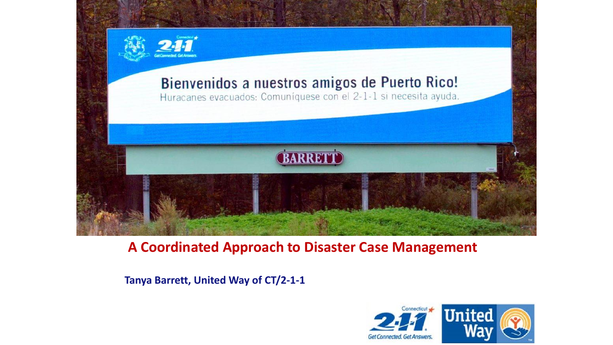

### **A Coordinated Approach to Disaster Case Management**

**Tanya Barrett, United Way of CT/2-1-1**

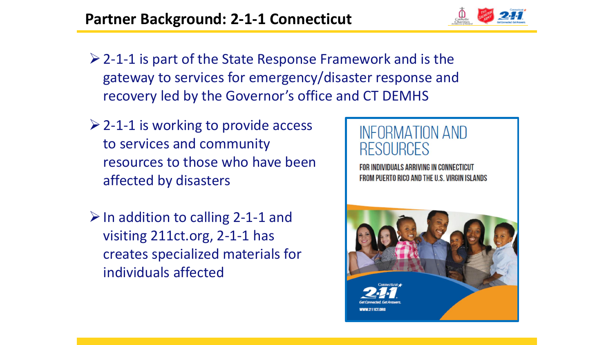

- $\geq$  2-1-1 is part of the State Response Framework and is the gateway to services for emergency/disaster response and recovery led by the Governor's office and CT DEMHS
- $\geq$  2-1-1 is working to provide access to services and community resources to those who have been affected by disasters
- $\triangleright$  In addition to calling 2-1-1 and visiting 211ct.org, 2-1-1 has creates specialized materials for individuals affected

# INFORMATION AND RESOURCES

FOR INDIVIDUALS ARRIVING IN CONNECTICUT FROM PUERTO RICO AND THE U.S. VIRGIN ISLANDS

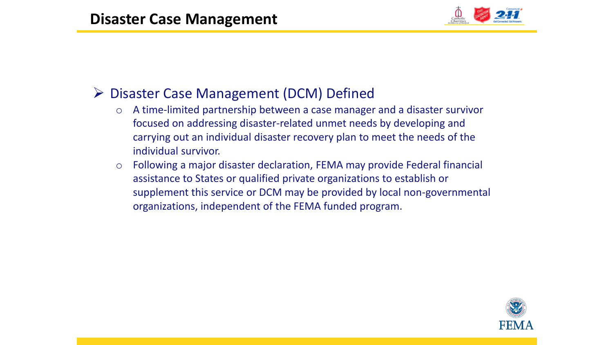

## Disaster Case Management (DCM) Defined

- o A time-limited partnership between a case manager and a disaster survivor focused on addressing disaster-related unmet needs by developing and carrying out an individual disaster recovery plan to meet the needs of the individual survivor.
- o Following a major disaster declaration, FEMA may provide Federal financial assistance to States or qualified private organizations to establish or supplement this service or DCM may be provided by local non-governmental organizations, independent of the FEMA funded program.

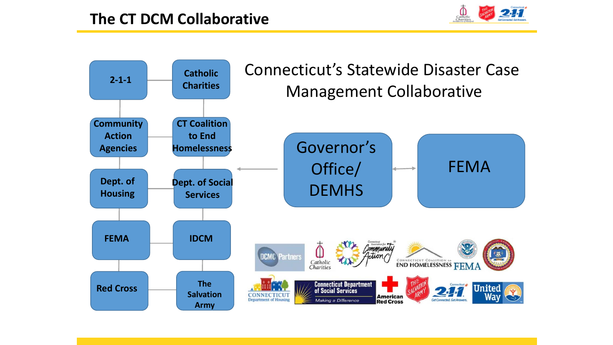

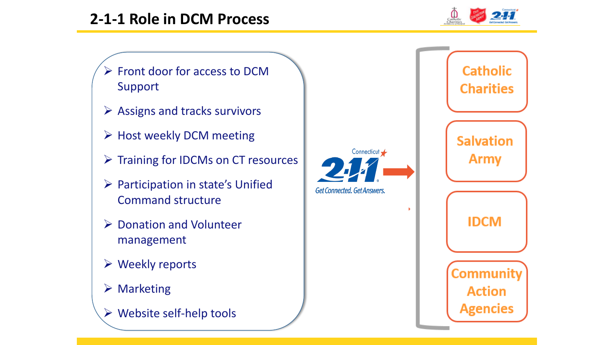

 $\triangleright$  Front door for access to DCM Support

- $\triangleright$  Assigns and tracks survivors
- $\triangleright$  Host weekly DCM meeting
- $\triangleright$  Training for IDCMs on CT resources
- $\triangleright$  Participation in state's Unified Command structure
- $\triangleright$  Donation and Volunteer management
- Weekly reports
- **▶ Marketing**
- $\triangleright$  Website self-help tools

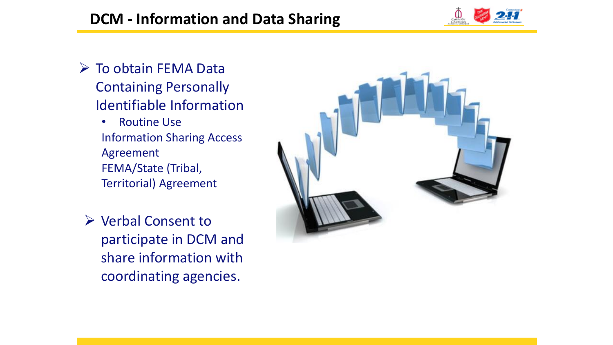# **DCM - Information and Data Sharing**



- $\triangleright$  To obtain FEMA Data Containing Personally Identifiable Information
	- Routine Use Information Sharing Access Agreement FEMA/State (Tribal, Territorial) Agreement
	- ▶ Verbal Consent to participate in DCM and share information with coordinating agencies.

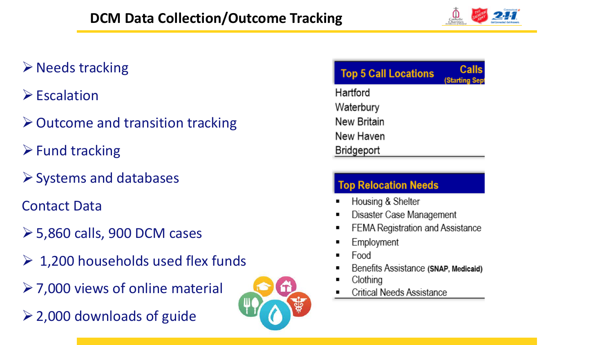

# $\triangleright$  Needs tracking

- $\triangleright$  Escalation
- Outcome and transition tracking
- $\triangleright$  Fund tracking
- $\triangleright$  Systems and databases
- Contact Data
- $\geq$  5,860 calls, 900 DCM cases
- $\geq 1,200$  households used flex funds
- $\geq$  7,000 views of online material
- 2,000 downloads of guide



| <b>Top 5 Call Locations</b> | Calls<br>(Starting Sep |
|-----------------------------|------------------------|
| Hartford                    |                        |
| Waterbury                   |                        |
| New Britain                 |                        |
| New Haven                   |                        |
| Bridgeport                  |                        |

#### **Top Relocation Needs**

- Housing & Shelter
- Disaster Case Management
- FEMA Registration and Assistance
- Employment
- Food
- Benefits Assistance (SNAP, Medicaid)
- Clothing
- **Critical Needs Assistance**